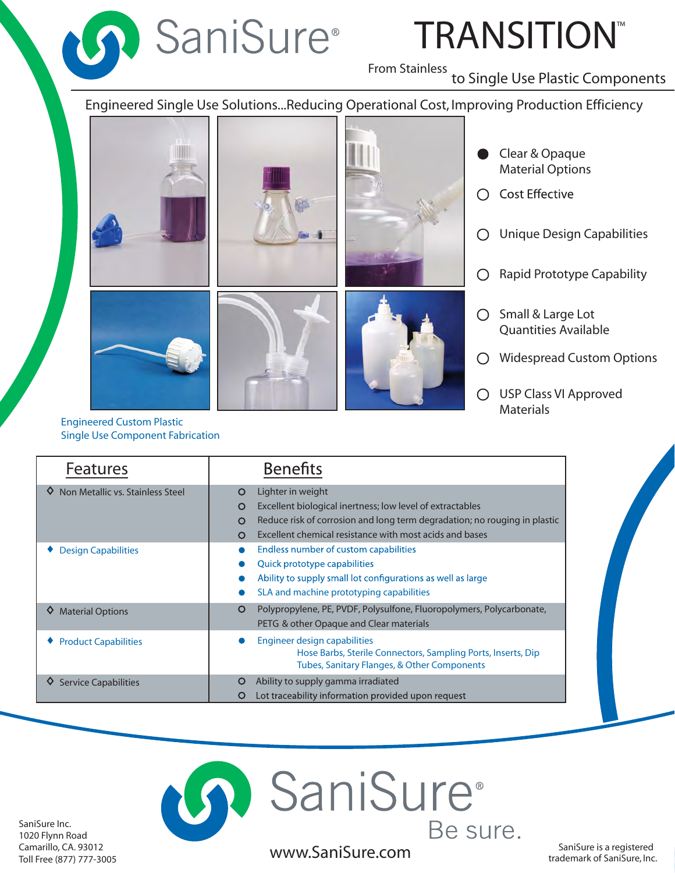

# TRANSITION ™

From Stainless<br>to Single Use Plastic Components

Engineered Single Use Solutions...Reducing Operational Cost, Improving Production Efficiency







- Clear & Opaque Material Options
- Cost Effective
- Unique Design Capabilities  $\bigcirc$
- Rapid Prototype Capability  $\bigcirc$
- O Small & Large Lot Quantities Available
- Widespread Custom Options
- USP Class VI Approved **Materials**

Engineered Custom Plastic Single Use Component Fabrication

| <b>Features</b>                  | <b>Benefits</b>                                                                                                                                                                                                                                   |
|----------------------------------|---------------------------------------------------------------------------------------------------------------------------------------------------------------------------------------------------------------------------------------------------|
| Non Metallic vs. Stainless Steel | Lighter in weight<br>O<br>Excellent biological inertness; low level of extractables<br>O<br>Reduce risk of corrosion and long term degradation; no rouging in plastic<br>O<br>Excellent chemical resistance with most acids and bases<br>$\Omega$ |
| <b>Design Capabilities</b>       | Endless number of custom capabilities<br>Quick prototype capabilities<br>Ability to supply small lot configurations as well as large<br>SLA and machine prototyping capabilities                                                                  |
| <b>Material Options</b><br>♦     | Polypropylene, PE, PVDF, Polysulfone, Fluoropolymers, Polycarbonate,<br>O<br>PETG & other Opaque and Clear materials                                                                                                                              |
| <b>Product Capabilities</b>      | Engineer design capabilities<br>Hose Barbs, Sterile Connectors, Sampling Ports, Inserts, Dip<br>Tubes, Sanitary Flanges, & Other Components                                                                                                       |
| <b>Service Capabilities</b>      | Ability to supply gamma irradiated<br>O<br>Lot traceability information provided upon request<br>O                                                                                                                                                |



SaniSure is a registered www.SaniSure.com

**SaniSure** 

trademark of SaniSure, Inc.

Be sure.